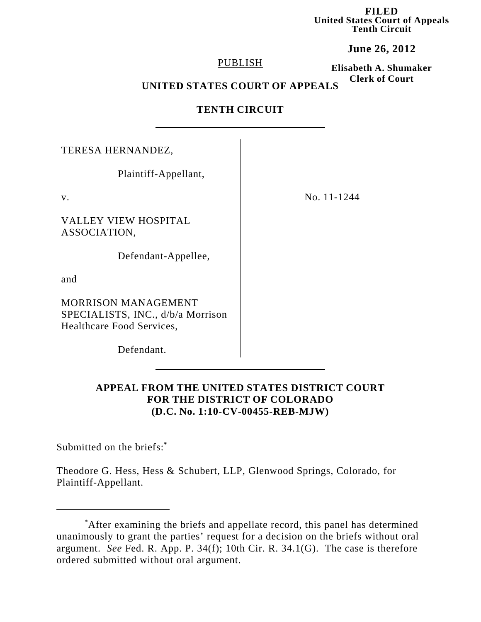**FILED United States Court of Appeals Tenth Circuit**

**June 26, 2012**

### PUBLISH

**Elisabeth A. Shumaker Clerk of Court**

# **UNITED STATES COURT OF APPEALS**

# **TENTH CIRCUIT**

| TERESA HERNANDEZ,                                                                            |             |
|----------------------------------------------------------------------------------------------|-------------|
| Plaintiff-Appellant,                                                                         |             |
| V.                                                                                           | No. 11-1244 |
| <b>VALLEY VIEW HOSPITAL</b><br>ASSOCIATION,                                                  |             |
| Defendant-Appellee,                                                                          |             |
| and                                                                                          |             |
| <b>MORRISON MANAGEMENT</b><br>SPECIALISTS, INC., d/b/a Morrison<br>Healthcare Food Services, |             |
| Defendant.                                                                                   |             |

# **APPEAL FROM THE UNITED STATES DISTRICT COURT FOR THE DISTRICT OF COLORADO (D.C. No. 1:10-CV-00455-REB-MJW)**

Submitted on the briefs:**\***

Theodore G. Hess, Hess & Schubert, LLP, Glenwood Springs, Colorado, for Plaintiff-Appellant.

<sup>\*</sup> After examining the briefs and appellate record, this panel has determined unanimously to grant the parties' request for a decision on the briefs without oral argument. *See* Fed. R. App. P. 34(f); 10th Cir. R. 34.1(G). The case is therefore ordered submitted without oral argument.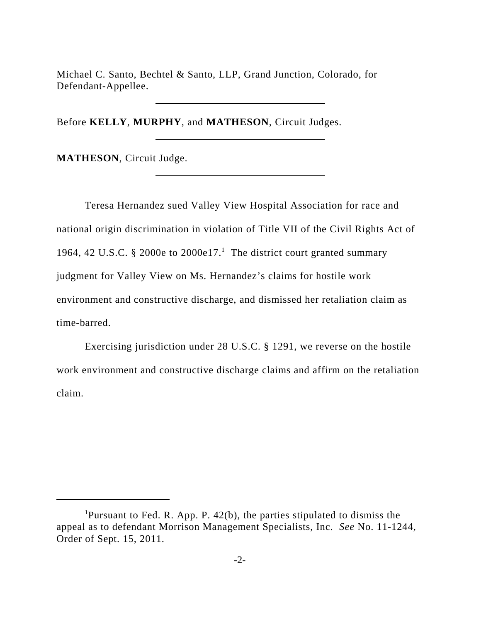Michael C. Santo, Bechtel & Santo, LLP, Grand Junction, Colorado, for Defendant-Appellee.

Before **KELLY**, **MURPHY**, and **MATHESON**, Circuit Judges.

**MATHESON**, Circuit Judge.

Teresa Hernandez sued Valley View Hospital Association for race and national origin discrimination in violation of Title VII of the Civil Rights Act of 1964, 42 U.S.C. § 2000e to 2000e17.<sup>1</sup> The district court granted summary judgment for Valley View on Ms. Hernandez's claims for hostile work environment and constructive discharge, and dismissed her retaliation claim as time-barred.

Exercising jurisdiction under 28 U.S.C. § 1291, we reverse on the hostile work environment and constructive discharge claims and affirm on the retaliation claim.

<sup>&</sup>lt;sup>1</sup>Pursuant to Fed. R. App. P.  $42(b)$ , the parties stipulated to dismiss the appeal as to defendant Morrison Management Specialists, Inc. *See* No. 11-1244, Order of Sept. 15, 2011.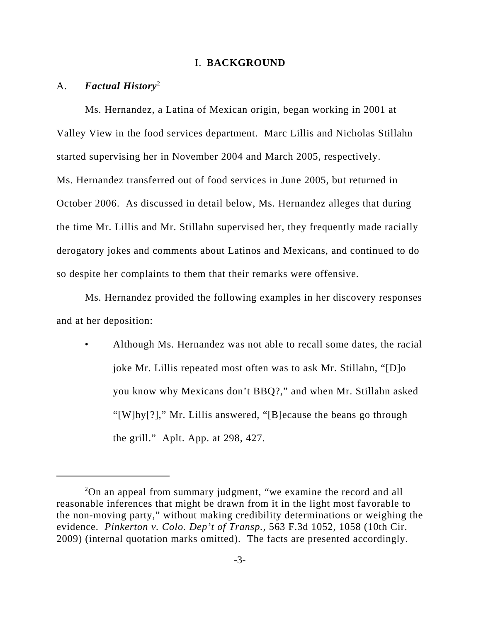#### I. **BACKGROUND**

### A. *Factual History*<sup>2</sup>

Ms. Hernandez, a Latina of Mexican origin, began working in 2001 at Valley View in the food services department. Marc Lillis and Nicholas Stillahn started supervising her in November 2004 and March 2005, respectively. Ms. Hernandez transferred out of food services in June 2005, but returned in October 2006. As discussed in detail below, Ms. Hernandez alleges that during the time Mr. Lillis and Mr. Stillahn supervised her, they frequently made racially derogatory jokes and comments about Latinos and Mexicans, and continued to do so despite her complaints to them that their remarks were offensive.

Ms. Hernandez provided the following examples in her discovery responses and at her deposition:

• Although Ms. Hernandez was not able to recall some dates, the racial joke Mr. Lillis repeated most often was to ask Mr. Stillahn, "[D]o you know why Mexicans don't BBQ?," and when Mr. Stillahn asked "[W]hy[?]," Mr. Lillis answered, "[B]ecause the beans go through the grill." Aplt. App. at 298, 427.

<sup>&</sup>lt;sup>2</sup>On an appeal from summary judgment, "we examine the record and all reasonable inferences that might be drawn from it in the light most favorable to the non-moving party," without making credibility determinations or weighing the evidence. *Pinkerton v. Colo. Dep't of Transp.*, 563 F.3d 1052, 1058 (10th Cir. 2009) (internal quotation marks omitted). The facts are presented accordingly.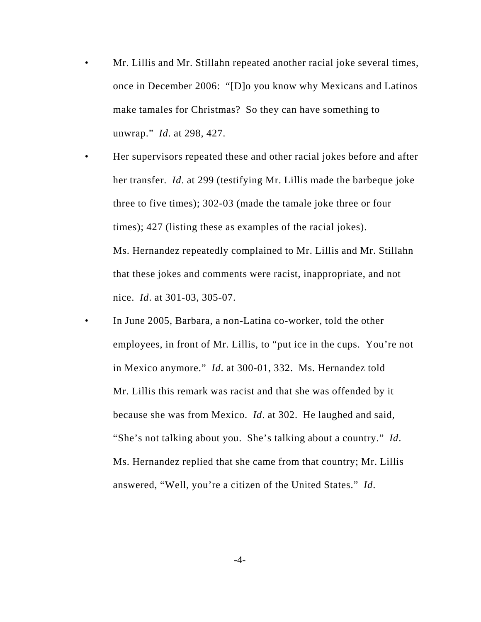- Mr. Lillis and Mr. Stillahn repeated another racial joke several times, once in December 2006: "[D]o you know why Mexicans and Latinos make tamales for Christmas? So they can have something to unwrap." *Id*. at 298, 427.
- Her supervisors repeated these and other racial jokes before and after her transfer. *Id*. at 299 (testifying Mr. Lillis made the barbeque joke three to five times); 302-03 (made the tamale joke three or four times); 427 (listing these as examples of the racial jokes). Ms. Hernandez repeatedly complained to Mr. Lillis and Mr. Stillahn that these jokes and comments were racist, inappropriate, and not nice. *Id*. at 301-03, 305-07.
- In June 2005, Barbara, a non-Latina co-worker, told the other employees, in front of Mr. Lillis, to "put ice in the cups. You're not in Mexico anymore." *Id*. at 300-01, 332. Ms. Hernandez told Mr. Lillis this remark was racist and that she was offended by it because she was from Mexico. *Id*. at 302. He laughed and said, "She's not talking about you. She's talking about a country." *Id*. Ms. Hernandez replied that she came from that country; Mr. Lillis answered, "Well, you're a citizen of the United States." *Id*.

 $-4-$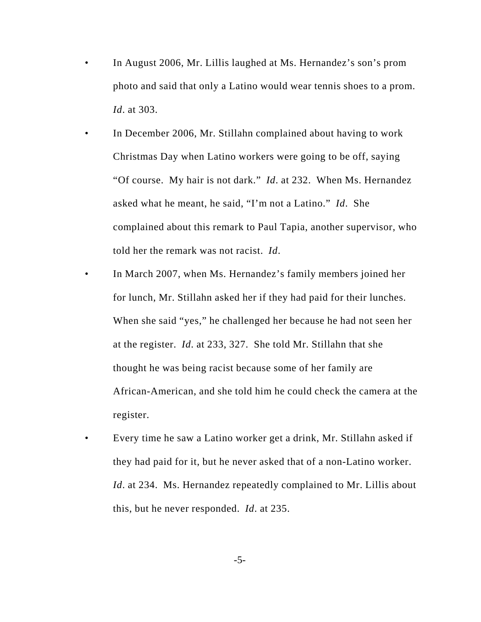- In August 2006, Mr. Lillis laughed at Ms. Hernandez's son's prom photo and said that only a Latino would wear tennis shoes to a prom. *Id*. at 303.
- In December 2006, Mr. Stillahn complained about having to work Christmas Day when Latino workers were going to be off, saying "Of course. My hair is not dark." *Id*. at 232. When Ms. Hernandez asked what he meant, he said, "I'm not a Latino." *Id*. She complained about this remark to Paul Tapia, another supervisor, who told her the remark was not racist. *Id*.
- In March 2007, when Ms. Hernandez's family members joined her for lunch, Mr. Stillahn asked her if they had paid for their lunches. When she said "yes," he challenged her because he had not seen her at the register. *Id*. at 233, 327. She told Mr. Stillahn that she thought he was being racist because some of her family are African-American, and she told him he could check the camera at the register.
- Every time he saw a Latino worker get a drink, Mr. Stillahn asked if they had paid for it, but he never asked that of a non-Latino worker. *Id.* at 234. Ms. Hernandez repeatedly complained to Mr. Lillis about this, but he never responded. *Id*. at 235.

-5-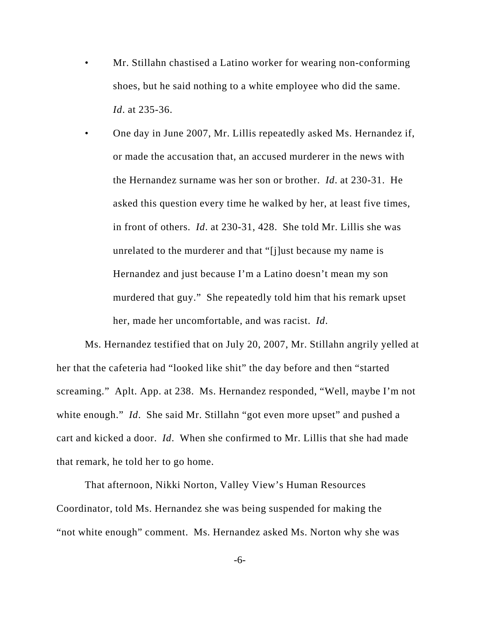- Mr. Stillahn chastised a Latino worker for wearing non-conforming shoes, but he said nothing to a white employee who did the same. *Id*. at 235-36.
- One day in June 2007, Mr. Lillis repeatedly asked Ms. Hernandez if, or made the accusation that, an accused murderer in the news with the Hernandez surname was her son or brother. *Id*. at 230-31. He asked this question every time he walked by her, at least five times, in front of others. *Id*. at 230-31, 428. She told Mr. Lillis she was unrelated to the murderer and that "[j]ust because my name is Hernandez and just because I'm a Latino doesn't mean my son murdered that guy." She repeatedly told him that his remark upset her, made her uncomfortable, and was racist. *Id*.

Ms. Hernandez testified that on July 20, 2007, Mr. Stillahn angrily yelled at her that the cafeteria had "looked like shit" the day before and then "started screaming." Aplt. App. at 238. Ms. Hernandez responded, "Well, maybe I'm not white enough." *Id.* She said Mr. Stillahn "got even more upset" and pushed a cart and kicked a door. *Id*. When she confirmed to Mr. Lillis that she had made that remark, he told her to go home.

That afternoon, Nikki Norton, Valley View's Human Resources Coordinator, told Ms. Hernandez she was being suspended for making the "not white enough" comment. Ms. Hernandez asked Ms. Norton why she was

-6-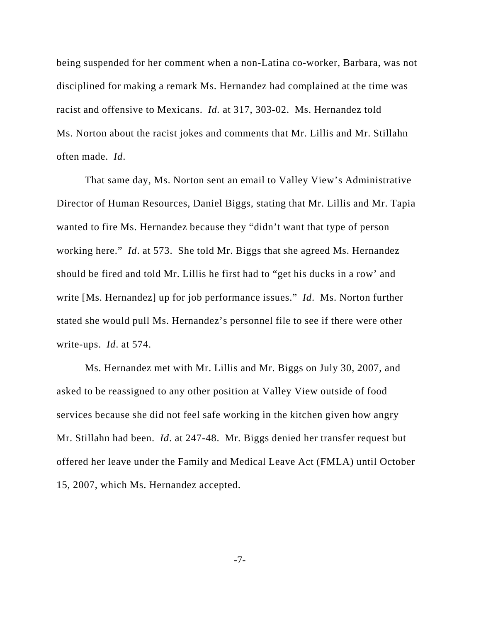being suspended for her comment when a non-Latina co-worker, Barbara, was not disciplined for making a remark Ms. Hernandez had complained at the time was racist and offensive to Mexicans. *Id.* at 317, 303-02. Ms. Hernandez told Ms. Norton about the racist jokes and comments that Mr. Lillis and Mr. Stillahn often made. *Id*.

That same day, Ms. Norton sent an email to Valley View's Administrative Director of Human Resources, Daniel Biggs, stating that Mr. Lillis and Mr. Tapia wanted to fire Ms. Hernandez because they "didn't want that type of person working here." *Id*. at 573. She told Mr. Biggs that she agreed Ms. Hernandez should be fired and told Mr. Lillis he first had to "get his ducks in a row' and write [Ms. Hernandez] up for job performance issues." *Id*. Ms. Norton further stated she would pull Ms. Hernandez's personnel file to see if there were other write-ups. *Id*. at 574.

Ms. Hernandez met with Mr. Lillis and Mr. Biggs on July 30, 2007, and asked to be reassigned to any other position at Valley View outside of food services because she did not feel safe working in the kitchen given how angry Mr. Stillahn had been. *Id*. at 247-48. Mr. Biggs denied her transfer request but offered her leave under the Family and Medical Leave Act (FMLA) until October 15, 2007, which Ms. Hernandez accepted.

-7-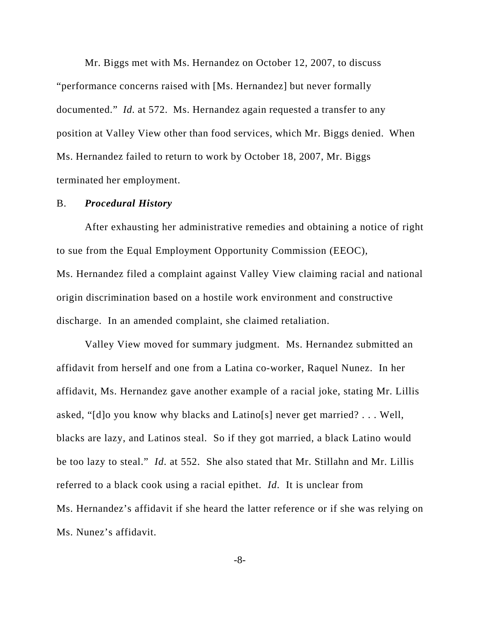Mr. Biggs met with Ms. Hernandez on October 12, 2007, to discuss "performance concerns raised with [Ms. Hernandez] but never formally documented." *Id.* at 572. Ms. Hernandez again requested a transfer to any position at Valley View other than food services, which Mr. Biggs denied. When Ms. Hernandez failed to return to work by October 18, 2007, Mr. Biggs terminated her employment.

### B. *Procedural History*

After exhausting her administrative remedies and obtaining a notice of right to sue from the Equal Employment Opportunity Commission (EEOC), Ms. Hernandez filed a complaint against Valley View claiming racial and national origin discrimination based on a hostile work environment and constructive discharge. In an amended complaint, she claimed retaliation.

Valley View moved for summary judgment. Ms. Hernandez submitted an affidavit from herself and one from a Latina co-worker, Raquel Nunez. In her affidavit, Ms. Hernandez gave another example of a racial joke, stating Mr. Lillis asked, "[d]o you know why blacks and Latino[s] never get married? . . . Well, blacks are lazy, and Latinos steal. So if they got married, a black Latino would be too lazy to steal." *Id*. at 552. She also stated that Mr. Stillahn and Mr. Lillis referred to a black cook using a racial epithet. *Id*. It is unclear from Ms. Hernandez's affidavit if she heard the latter reference or if she was relying on Ms. Nunez's affidavit.

-8-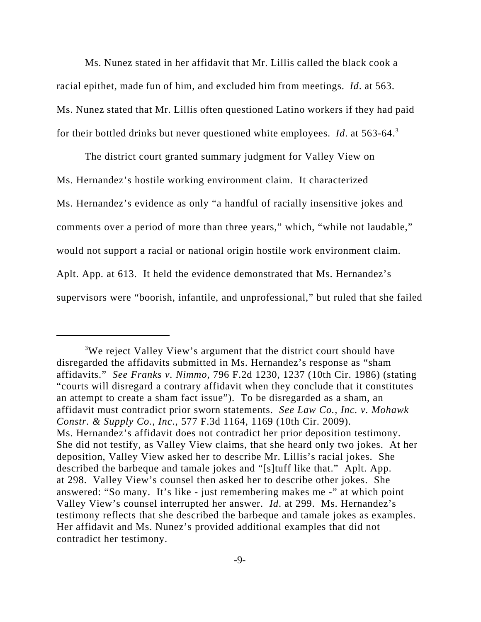Ms. Nunez stated in her affidavit that Mr. Lillis called the black cook a racial epithet, made fun of him, and excluded him from meetings. *Id*. at 563. Ms. Nunez stated that Mr. Lillis often questioned Latino workers if they had paid for their bottled drinks but never questioned white employees. *Id*. at 563-64.3

The district court granted summary judgment for Valley View on Ms. Hernandez's hostile working environment claim. It characterized Ms. Hernandez's evidence as only "a handful of racially insensitive jokes and comments over a period of more than three years," which, "while not laudable," would not support a racial or national origin hostile work environment claim. Aplt. App. at 613. It held the evidence demonstrated that Ms. Hernandez's supervisors were "boorish, infantile, and unprofessional," but ruled that she failed

<sup>&</sup>lt;sup>3</sup>We reject Valley View's argument that the district court should have disregarded the affidavits submitted in Ms. Hernandez's response as "sham affidavits." *See Franks v. Nimmo*, 796 F.2d 1230, 1237 (10th Cir. 1986) (stating "courts will disregard a contrary affidavit when they conclude that it constitutes an attempt to create a sham fact issue"). To be disregarded as a sham, an affidavit must contradict prior sworn statements. *See Law Co., Inc. v. Mohawk Constr. & Supply Co., Inc*., 577 F.3d 1164, 1169 (10th Cir. 2009). Ms. Hernandez's affidavit does not contradict her prior deposition testimony. She did not testify, as Valley View claims, that she heard only two jokes. At her deposition, Valley View asked her to describe Mr. Lillis's racial jokes. She described the barbeque and tamale jokes and "[s]tuff like that." Aplt. App. at 298. Valley View's counsel then asked her to describe other jokes. She answered: "So many. It's like - just remembering makes me -" at which point Valley View's counsel interrupted her answer. *Id*. at 299. Ms. Hernandez's testimony reflects that she described the barbeque and tamale jokes as examples. Her affidavit and Ms. Nunez's provided additional examples that did not contradict her testimony.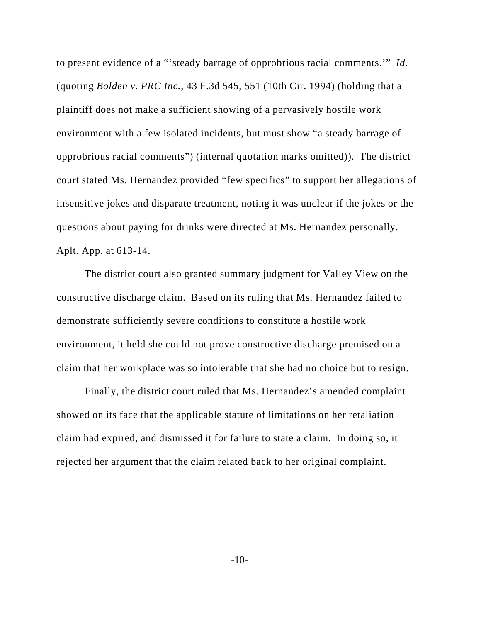to present evidence of a "'steady barrage of opprobrious racial comments.'" *Id*. (quoting *Bolden v. PRC Inc.*, 43 F.3d 545, 551 (10th Cir. 1994) (holding that a plaintiff does not make a sufficient showing of a pervasively hostile work environment with a few isolated incidents, but must show "a steady barrage of opprobrious racial comments") (internal quotation marks omitted)). The district court stated Ms. Hernandez provided "few specifics" to support her allegations of insensitive jokes and disparate treatment, noting it was unclear if the jokes or the questions about paying for drinks were directed at Ms. Hernandez personally. Aplt. App. at 613-14.

The district court also granted summary judgment for Valley View on the constructive discharge claim. Based on its ruling that Ms. Hernandez failed to demonstrate sufficiently severe conditions to constitute a hostile work environment, it held she could not prove constructive discharge premised on a claim that her workplace was so intolerable that she had no choice but to resign.

Finally, the district court ruled that Ms. Hernandez's amended complaint showed on its face that the applicable statute of limitations on her retaliation claim had expired, and dismissed it for failure to state a claim. In doing so, it rejected her argument that the claim related back to her original complaint.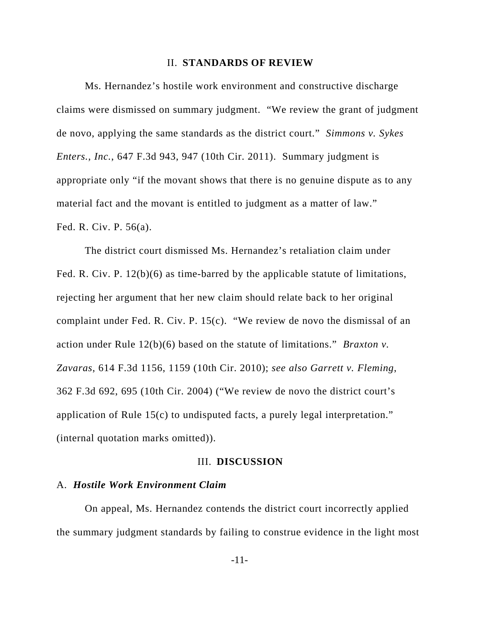### II. **STANDARDS OF REVIEW**

Ms. Hernandez's hostile work environment and constructive discharge claims were dismissed on summary judgment. "We review the grant of judgment de novo, applying the same standards as the district court." *Simmons v. Sykes Enters., Inc.*, 647 F.3d 943, 947 (10th Cir. 2011). Summary judgment is appropriate only "if the movant shows that there is no genuine dispute as to any material fact and the movant is entitled to judgment as a matter of law." Fed. R. Civ. P. 56(a).

The district court dismissed Ms. Hernandez's retaliation claim under Fed. R. Civ. P. 12(b)(6) as time-barred by the applicable statute of limitations, rejecting her argument that her new claim should relate back to her original complaint under Fed. R. Civ. P. 15(c). "We review de novo the dismissal of an action under Rule 12(b)(6) based on the statute of limitations." *Braxton v. Zavaras*, 614 F.3d 1156, 1159 (10th Cir. 2010); *see also Garrett v. Fleming*, 362 F.3d 692, 695 (10th Cir. 2004) ("We review de novo the district court's application of Rule 15(c) to undisputed facts, a purely legal interpretation." (internal quotation marks omitted)).

### III. **DISCUSSION**

## A. *Hostile Work Environment Claim*

On appeal, Ms. Hernandez contends the district court incorrectly applied the summary judgment standards by failing to construe evidence in the light most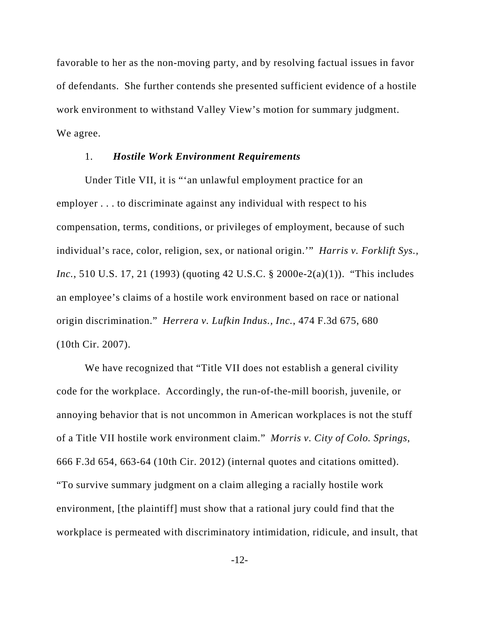favorable to her as the non-moving party, and by resolving factual issues in favor of defendants. She further contends she presented sufficient evidence of a hostile work environment to withstand Valley View's motion for summary judgment. We agree.

### 1. *Hostile Work Environment Requirements*

Under Title VII, it is "'an unlawful employment practice for an employer . . . to discriminate against any individual with respect to his compensation, terms, conditions, or privileges of employment, because of such individual's race, color, religion, sex, or national origin.'" *Harris v. Forklift Sys., Inc.*, 510 U.S. 17, 21 (1993) (quoting 42 U.S.C. § 2000e-2(a)(1)). "This includes an employee's claims of a hostile work environment based on race or national origin discrimination." *Herrera v. Lufkin Indus., Inc.*, 474 F.3d 675, 680 (10th Cir. 2007).

We have recognized that "Title VII does not establish a general civility code for the workplace. Accordingly, the run-of-the-mill boorish, juvenile, or annoying behavior that is not uncommon in American workplaces is not the stuff of a Title VII hostile work environment claim." *Morris v. City of Colo. Springs*, 666 F.3d 654, 663-64 (10th Cir. 2012) (internal quotes and citations omitted). "To survive summary judgment on a claim alleging a racially hostile work environment, [the plaintiff] must show that a rational jury could find that the workplace is permeated with discriminatory intimidation, ridicule, and insult, that

-12-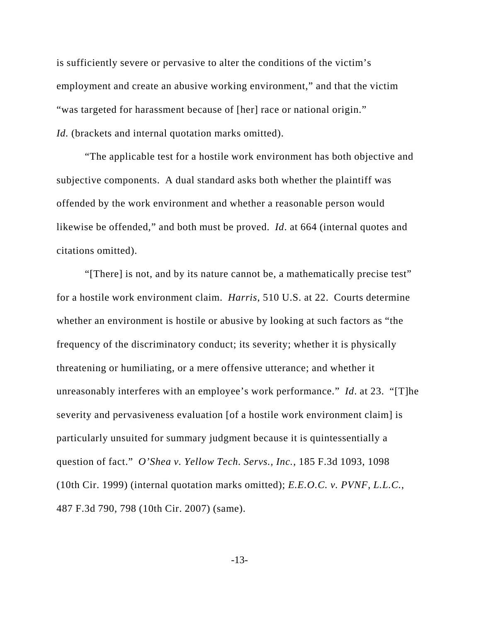is sufficiently severe or pervasive to alter the conditions of the victim's employment and create an abusive working environment," and that the victim "was targeted for harassment because of [her] race or national origin." *Id.* (brackets and internal quotation marks omitted).

"The applicable test for a hostile work environment has both objective and subjective components. A dual standard asks both whether the plaintiff was offended by the work environment and whether a reasonable person would likewise be offended," and both must be proved. *Id*. at 664 (internal quotes and citations omitted).

"[There] is not, and by its nature cannot be, a mathematically precise test" for a hostile work environment claim. *Harris*, 510 U.S. at 22. Courts determine whether an environment is hostile or abusive by looking at such factors as "the frequency of the discriminatory conduct; its severity; whether it is physically threatening or humiliating, or a mere offensive utterance; and whether it unreasonably interferes with an employee's work performance." *Id*. at 23. "[T]he severity and pervasiveness evaluation [of a hostile work environment claim] is particularly unsuited for summary judgment because it is quintessentially a question of fact." *O'Shea v. Yellow Tech. Servs., Inc.*, 185 F.3d 1093, 1098 (10th Cir. 1999) (internal quotation marks omitted); *E.E.O.C. v. PVNF, L.L.C.*, 487 F.3d 790, 798 (10th Cir. 2007) (same).

-13-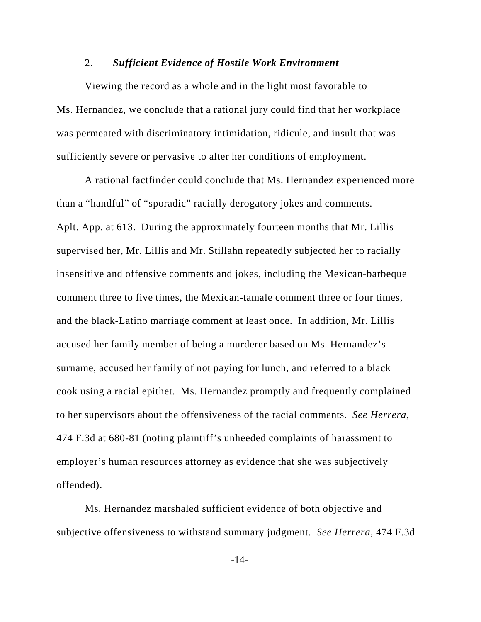### 2. *Sufficient Evidence of Hostile Work Environment*

Viewing the record as a whole and in the light most favorable to Ms. Hernandez, we conclude that a rational jury could find that her workplace was permeated with discriminatory intimidation, ridicule, and insult that was sufficiently severe or pervasive to alter her conditions of employment.

A rational factfinder could conclude that Ms. Hernandez experienced more than a "handful" of "sporadic" racially derogatory jokes and comments. Aplt. App. at 613. During the approximately fourteen months that Mr. Lillis supervised her, Mr. Lillis and Mr. Stillahn repeatedly subjected her to racially insensitive and offensive comments and jokes, including the Mexican-barbeque comment three to five times, the Mexican-tamale comment three or four times, and the black-Latino marriage comment at least once. In addition, Mr. Lillis accused her family member of being a murderer based on Ms. Hernandez's surname, accused her family of not paying for lunch, and referred to a black cook using a racial epithet. Ms. Hernandez promptly and frequently complained to her supervisors about the offensiveness of the racial comments. *See Herrera*, 474 F.3d at 680-81 (noting plaintiff's unheeded complaints of harassment to employer's human resources attorney as evidence that she was subjectively offended).

Ms. Hernandez marshaled sufficient evidence of both objective and subjective offensiveness to withstand summary judgment. *See Herrera*, 474 F.3d

-14-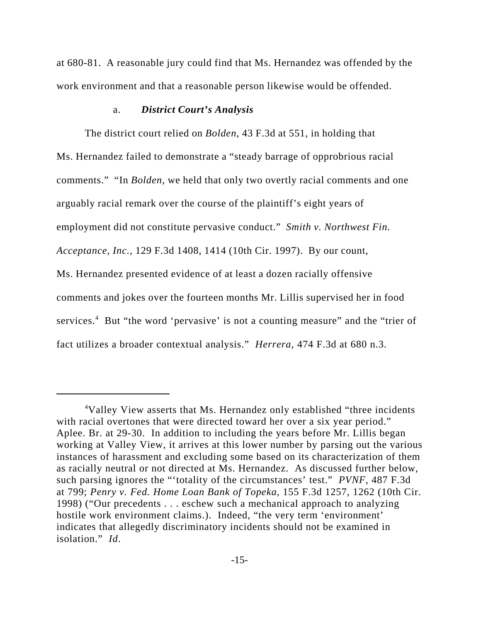at 680-81. A reasonable jury could find that Ms. Hernandez was offended by the work environment and that a reasonable person likewise would be offended.

### a. *District Court's Analysis*

The district court relied on *Bolden*, 43 F.3d at 551, in holding that Ms. Hernandez failed to demonstrate a "steady barrage of opprobrious racial comments." "In *Bolden*, we held that only two overtly racial comments and one arguably racial remark over the course of the plaintiff's eight years of employment did not constitute pervasive conduct." *Smith v. Northwest Fin. Acceptance, Inc.*, 129 F.3d 1408, 1414 (10th Cir. 1997). By our count, Ms. Hernandez presented evidence of at least a dozen racially offensive comments and jokes over the fourteen months Mr. Lillis supervised her in food services.<sup>4</sup> But "the word 'pervasive' is not a counting measure" and the "trier of fact utilizes a broader contextual analysis." *Herrera*, 474 F.3d at 680 n.3.

<sup>&</sup>lt;sup>4</sup>Valley View asserts that Ms. Hernandez only established "three incidents with racial overtones that were directed toward her over a six year period." Aplee. Br. at 29-30. In addition to including the years before Mr. Lillis began working at Valley View, it arrives at this lower number by parsing out the various instances of harassment and excluding some based on its characterization of them as racially neutral or not directed at Ms. Hernandez. As discussed further below, such parsing ignores the "'totality of the circumstances' test." *PVNF,* 487 F.3d at 799; *Penry v. Fed. Home Loan Bank of Topeka*, 155 F.3d 1257, 1262 (10th Cir. 1998) ("Our precedents . . . eschew such a mechanical approach to analyzing hostile work environment claims.). Indeed, "the very term 'environment' indicates that allegedly discriminatory incidents should not be examined in isolation." *Id*.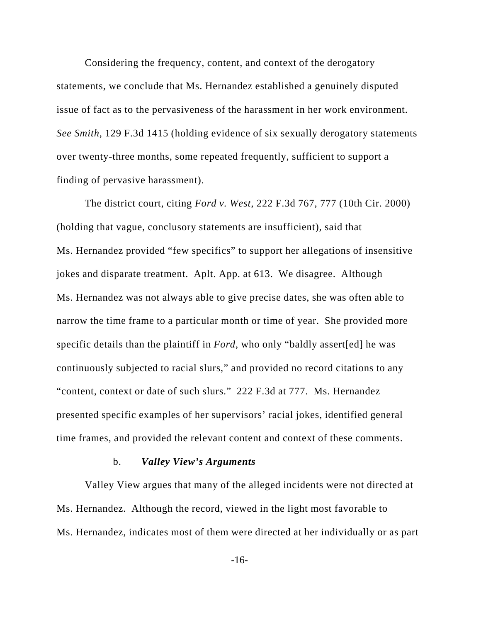Considering the frequency, content, and context of the derogatory statements, we conclude that Ms. Hernandez established a genuinely disputed issue of fact as to the pervasiveness of the harassment in her work environment. *See Smith*, 129 F.3d 1415 (holding evidence of six sexually derogatory statements over twenty-three months, some repeated frequently, sufficient to support a finding of pervasive harassment).

The district court, citing *Ford v. West*, 222 F.3d 767, 777 (10th Cir. 2000) (holding that vague, conclusory statements are insufficient), said that Ms. Hernandez provided "few specifics" to support her allegations of insensitive jokes and disparate treatment. Aplt. App. at 613. We disagree. Although Ms. Hernandez was not always able to give precise dates, she was often able to narrow the time frame to a particular month or time of year. She provided more specific details than the plaintiff in *Ford*, who only "baldly assert[ed] he was continuously subjected to racial slurs," and provided no record citations to any "content, context or date of such slurs." 222 F.3d at 777. Ms. Hernandez presented specific examples of her supervisors' racial jokes, identified general time frames, and provided the relevant content and context of these comments.

#### b. *Valley View's Arguments*

Valley View argues that many of the alleged incidents were not directed at Ms. Hernandez. Although the record, viewed in the light most favorable to Ms. Hernandez, indicates most of them were directed at her individually or as part

-16-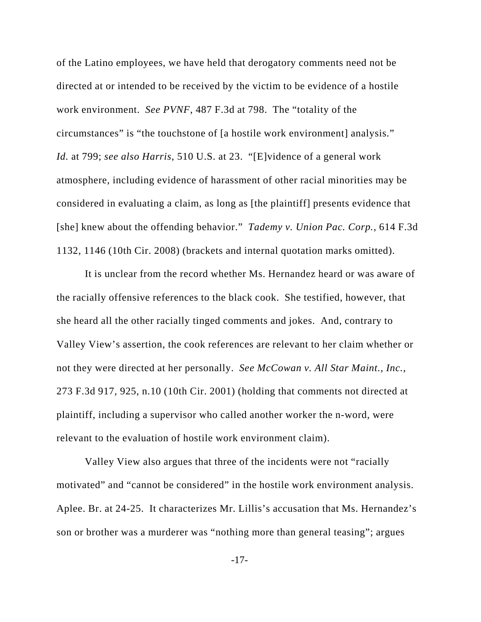of the Latino employees, we have held that derogatory comments need not be directed at or intended to be received by the victim to be evidence of a hostile work environment. *See PVNF*, 487 F.3d at 798. The "totality of the circumstances" is "the touchstone of [a hostile work environment] analysis." *Id.* at 799; *see also Harris*, 510 U.S. at 23. "[E]vidence of a general work atmosphere, including evidence of harassment of other racial minorities may be considered in evaluating a claim, as long as [the plaintiff] presents evidence that [she] knew about the offending behavior." *Tademy v. Union Pac. Corp.*, 614 F.3d 1132, 1146 (10th Cir. 2008) (brackets and internal quotation marks omitted).

It is unclear from the record whether Ms. Hernandez heard or was aware of the racially offensive references to the black cook. She testified, however, that she heard all the other racially tinged comments and jokes. And, contrary to Valley View's assertion, the cook references are relevant to her claim whether or not they were directed at her personally. *See McCowan v. All Star Maint., Inc.*, 273 F.3d 917, 925, n.10 (10th Cir. 2001) (holding that comments not directed at plaintiff, including a supervisor who called another worker the n-word, were relevant to the evaluation of hostile work environment claim).

Valley View also argues that three of the incidents were not "racially motivated" and "cannot be considered" in the hostile work environment analysis. Aplee. Br. at 24-25. It characterizes Mr. Lillis's accusation that Ms. Hernandez's son or brother was a murderer was "nothing more than general teasing"; argues

-17-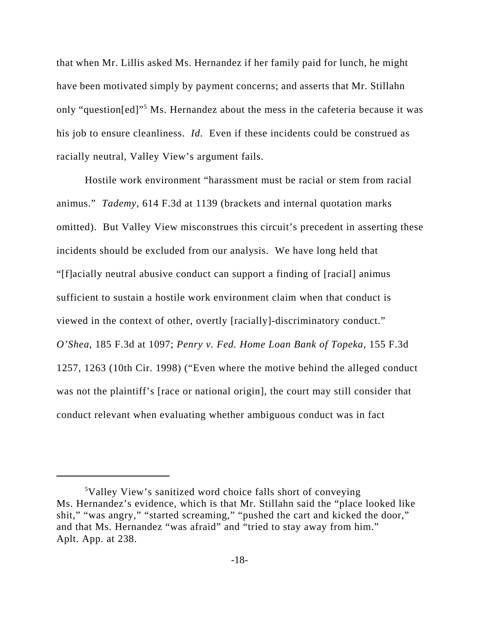that when Mr. Lillis asked Ms. Hernandez if her family paid for lunch, he might have been motivated simply by payment concerns; and asserts that Mr. Stillahn only "question[ed]"<sup>5</sup> Ms. Hernandez about the mess in the cafeteria because it was his job to ensure cleanliness. *Id*. Even if these incidents could be construed as racially neutral, Valley View's argument fails.

Hostile work environment "harassment must be racial or stem from racial animus." *Tademy*, 614 F.3d at 1139 (brackets and internal quotation marks omitted). But Valley View misconstrues this circuit's precedent in asserting these incidents should be excluded from our analysis. We have long held that "[f]acially neutral abusive conduct can support a finding of [racial] animus sufficient to sustain a hostile work environment claim when that conduct is viewed in the context of other, overtly [racially]-discriminatory conduct." *O'Shea*, 185 F.3d at 1097; *Penry v. Fed. Home Loan Bank of Topeka*, 155 F.3d 1257, 1263 (10th Cir. 1998) ("Even where the motive behind the alleged conduct was not the plaintiff's [race or national origin], the court may still consider that conduct relevant when evaluating whether ambiguous conduct was in fact

<sup>5</sup> Valley View's sanitized word choice falls short of conveying Ms. Hernandez's evidence, which is that Mr. Stillahn said the "place looked like shit," "was angry," "started screaming," "pushed the cart and kicked the door," and that Ms. Hernandez "was afraid" and "tried to stay away from him." Aplt. App. at 238.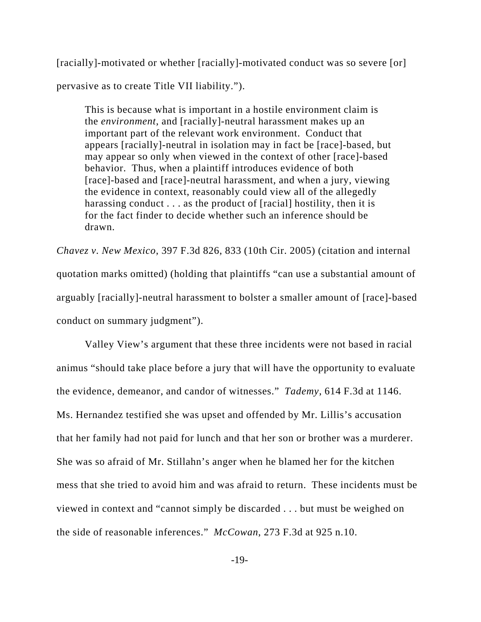[racially]-motivated or whether [racially]-motivated conduct was so severe [or] pervasive as to create Title VII liability.").

This is because what is important in a hostile environment claim is the *environment*, and [racially]-neutral harassment makes up an important part of the relevant work environment. Conduct that appears [racially]-neutral in isolation may in fact be [race]-based, but may appear so only when viewed in the context of other [race]-based behavior. Thus, when a plaintiff introduces evidence of both [race]-based and [race]-neutral harassment, and when a jury, viewing the evidence in context, reasonably could view all of the allegedly harassing conduct . . . as the product of [racial] hostility, then it is for the fact finder to decide whether such an inference should be drawn.

*Chavez v. New Mexico*, 397 F.3d 826, 833 (10th Cir. 2005) (citation and internal quotation marks omitted) (holding that plaintiffs "can use a substantial amount of arguably [racially]-neutral harassment to bolster a smaller amount of [race]-based conduct on summary judgment").

 Valley View's argument that these three incidents were not based in racial animus "should take place before a jury that will have the opportunity to evaluate the evidence, demeanor, and candor of witnesses." *Tademy*, 614 F.3d at 1146. Ms. Hernandez testified she was upset and offended by Mr. Lillis's accusation that her family had not paid for lunch and that her son or brother was a murderer. She was so afraid of Mr. Stillahn's anger when he blamed her for the kitchen mess that she tried to avoid him and was afraid to return. These incidents must be viewed in context and "cannot simply be discarded . . . but must be weighed on the side of reasonable inferences." *McCowan*, 273 F.3d at 925 n.10.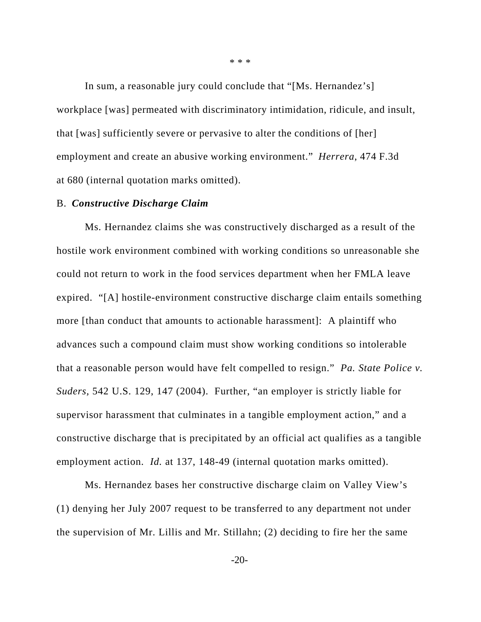In sum, a reasonable jury could conclude that "[Ms. Hernandez's] workplace [was] permeated with discriminatory intimidation, ridicule, and insult, that [was] sufficiently severe or pervasive to alter the conditions of [her] employment and create an abusive working environment." *Herrera*, 474 F.3d at 680 (internal quotation marks omitted).

### B. *Constructive Discharge Claim*

Ms. Hernandez claims she was constructively discharged as a result of the hostile work environment combined with working conditions so unreasonable she could not return to work in the food services department when her FMLA leave expired. "[A] hostile-environment constructive discharge claim entails something more [than conduct that amounts to actionable harassment]: A plaintiff who advances such a compound claim must show working conditions so intolerable that a reasonable person would have felt compelled to resign." *Pa. State Police v. Suders,* 542 U.S. 129, 147 (2004). Further, "an employer is strictly liable for supervisor harassment that culminates in a tangible employment action," and a constructive discharge that is precipitated by an official act qualifies as a tangible employment action. *Id.* at 137, 148-49 (internal quotation marks omitted).

Ms. Hernandez bases her constructive discharge claim on Valley View's (1) denying her July 2007 request to be transferred to any department not under the supervision of Mr. Lillis and Mr. Stillahn; (2) deciding to fire her the same

 $-20-$ 

\* \* \*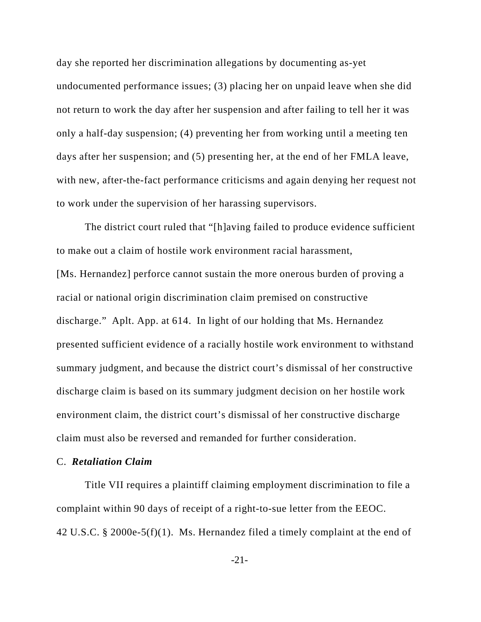day she reported her discrimination allegations by documenting as-yet undocumented performance issues; (3) placing her on unpaid leave when she did not return to work the day after her suspension and after failing to tell her it was only a half-day suspension; (4) preventing her from working until a meeting ten days after her suspension; and (5) presenting her, at the end of her FMLA leave, with new, after-the-fact performance criticisms and again denying her request not to work under the supervision of her harassing supervisors.

The district court ruled that "[h]aving failed to produce evidence sufficient to make out a claim of hostile work environment racial harassment, [Ms. Hernandez] perforce cannot sustain the more onerous burden of proving a racial or national origin discrimination claim premised on constructive discharge." Aplt. App. at 614. In light of our holding that Ms. Hernandez presented sufficient evidence of a racially hostile work environment to withstand summary judgment, and because the district court's dismissal of her constructive discharge claim is based on its summary judgment decision on her hostile work environment claim, the district court's dismissal of her constructive discharge claim must also be reversed and remanded for further consideration.

### C. *Retaliation Claim*

Title VII requires a plaintiff claiming employment discrimination to file a complaint within 90 days of receipt of a right-to-sue letter from the EEOC. 42 U.S.C. § 2000e-5(f)(1). Ms. Hernandez filed a timely complaint at the end of

-21-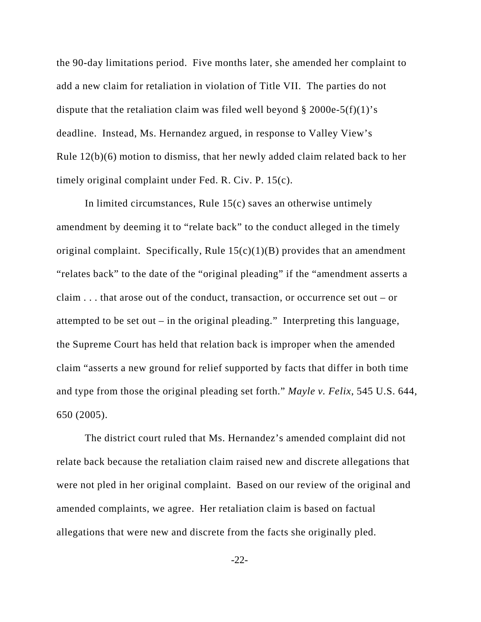the 90-day limitations period. Five months later, she amended her complaint to add a new claim for retaliation in violation of Title VII. The parties do not dispute that the retaliation claim was filed well beyond  $\S 2000e-5(f)(1)'s$ deadline. Instead, Ms. Hernandez argued, in response to Valley View's Rule 12(b)(6) motion to dismiss, that her newly added claim related back to her timely original complaint under Fed. R. Civ. P. 15(c).

In limited circumstances, Rule 15(c) saves an otherwise untimely amendment by deeming it to "relate back" to the conduct alleged in the timely original complaint. Specifically, Rule  $15(c)(1)(B)$  provides that an amendment "relates back" to the date of the "original pleading" if the "amendment asserts a claim . . . that arose out of the conduct, transaction, or occurrence set out – or attempted to be set out – in the original pleading." Interpreting this language, the Supreme Court has held that relation back is improper when the amended claim "asserts a new ground for relief supported by facts that differ in both time and type from those the original pleading set forth." *Mayle v. Felix*, 545 U.S. 644, 650 (2005).

The district court ruled that Ms. Hernandez's amended complaint did not relate back because the retaliation claim raised new and discrete allegations that were not pled in her original complaint. Based on our review of the original and amended complaints, we agree. Her retaliation claim is based on factual allegations that were new and discrete from the facts she originally pled.

-22-